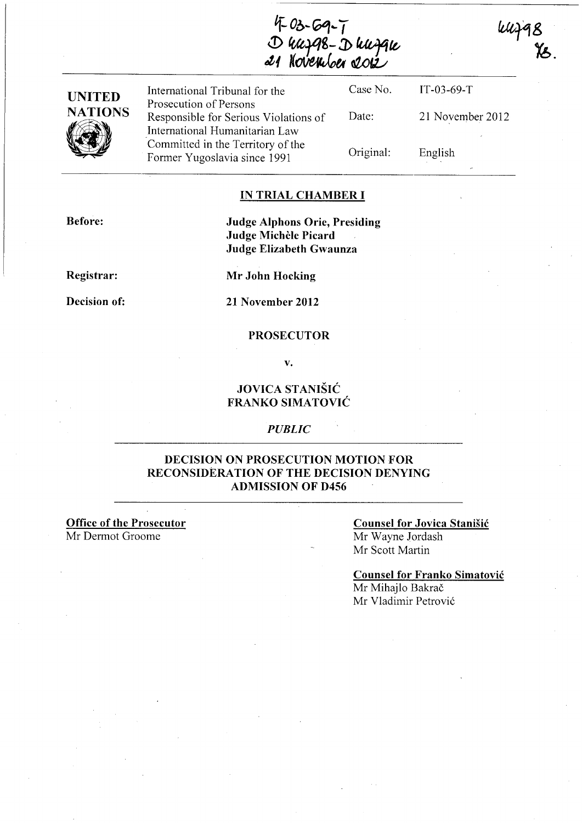4 03-69-7<br>D 44798-D 447910<br>21 November 2012

**WHA8** 

| <b>UNITED</b><br><b>NATIONS</b> | International Tribunal for the<br>Prosecution of Persons                | Case No.  | $IT-03-69-T$     |
|---------------------------------|-------------------------------------------------------------------------|-----------|------------------|
|                                 | Responsible for Serious Violations of<br>International Humanitarian Law | Date:     | 21 November 2012 |
|                                 | Committed in the Territory of the<br>Former Yugoslavia since 1991       | Original: | English          |

#### **IN TRIAL CHAMBER I**

**Before:** 

**Judge Alphons Orie, Presiding Judge Michele Picard Judge Elizabeth Gwaunza** 

**Registrar:** 

**Decision of:** 

**Mr John Hocking 21 November 2012** 

#### **PROSECUTOR**

**v.** 

### **JOVICA STANIŠIĆ FRANKO SIMATOVIC**

#### *PUBLIC*

### **DECISION ON PROSECUTION MOTION FOR RECONSIDERATION OF THE DECISION DENYING ADMISSION OF D456**

**Office of the Prosecutor**  Mr Dermot Groome

### **Counsel for Jovica Stanisic**  Mr Wayne Jordash Mr Scott Martin

**Counsel for Franko Simatovic**  Mr Mihajlo Bakrač

Mr Vladimir Petrović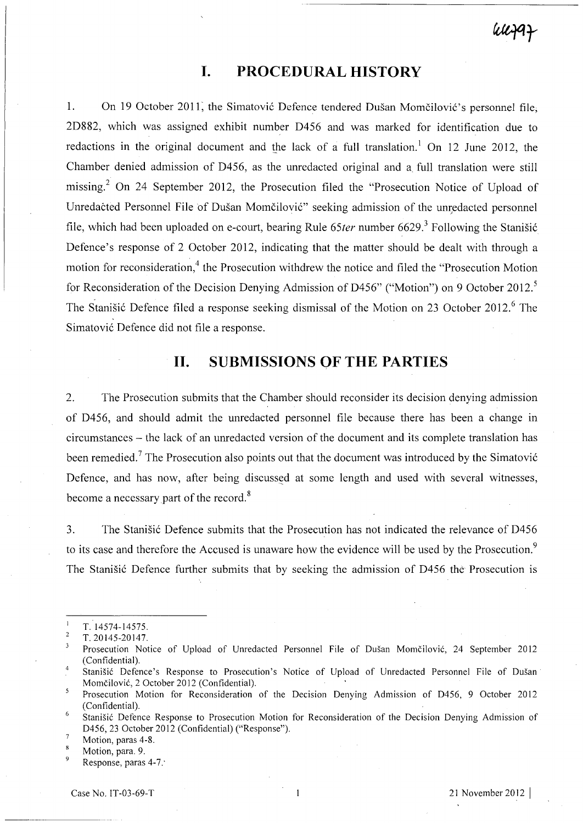# wezaz

# **I. PROCEDURAL HISTORY**

1. On 19 October 2011, the Simatović Defence tendered Dušan Momčilović's personnel file; 2D882, which was assigned exhibit number D456 and was marked for identification due to redactions in the original document and the lack of a full translation.<sup>1</sup> On 12 June 2012, the Chamber denied admission of D456, as the unredacted original and a. full translation were still missing? On 24 September 2012, the Prosecution filed the "Prosecution Notice of Upload of Unredacted Personnel File of Dušan Momčilović" seeking admission of the unredacted personnel file, which had been uploaded on e-court, bearing Rule 65ter number 6629.<sup>3</sup> Following the Stanisic Defence's response of 2 October 2012, indicating that the matter should be dealt with through a motion for reconsideration,<sup>4</sup> the Prosecution withdrew the notice and filed the "Prosecution Motion for Reconsideration of the Decision Denying Admission of D456" ("Motion") on 9 October 2012.<sup>5</sup> The Stanišić Defence filed a response seeking dismissal of the Motion on 23 October 2012.<sup>6</sup> The Simatović Defence did not file a response.

### **11. SUBMISSIONS OF THE PARTIES**

2. The Prosecution submits that the Chamber should reconsider its decision denying admission of D456, and should admit the unredacted personnel file because there has been a change in circumstances - the lack of an unredacted version of the document and its complete translation has been remedied.<sup>7</sup> The Prosecution also points out that the document was introduced by the Simatović Defence, and has now, after being discussed at some length and used with several witnesses, become a necessary part of the record.<sup>8</sup>

3. The Stanišić Defence submits that the Prosecution has not indicated the relevance of D456 to its case and therefore the Accused is unaware how the evidence will be used by the Prosecution.<sup>9</sup> The Stanišić Defence further submits that by seeking the admission of D456 the Prosecution is

 $\mathbf{I}$ 

T. 14574-14575.  $\overline{2}$ T. 20145-20147.

 $\overline{\mathbf{3}}$ Prosecution Notice of Upload of Unredacted Personnel File of Dušan Momčilović, 24 September 2012 (Confidential).

<sup>4</sup>  Stanišić Defence's Response to Prosecution's Notice of Upload of Unredacted Personnel File of Dušan Momcilovic, 2 October 2012 (Confidential).

<sup>5</sup> Prosecution Motion for Reconsideration of the Decision Denying Admission of 0456, 9 October 2012 (Confidential).

<sup>6</sup>  Stanisic Defence Response to Prosecution Motion for Reconsideration of the Decision Denying Admission of D456, 23 October 2012 (Confidential) ("Response").

 $\overline{7}$ Motion, paras 4-8.

 $\mathbf{R}$ Motion, para. 9.  $\overline{9}$ 

Response, paras 4-7.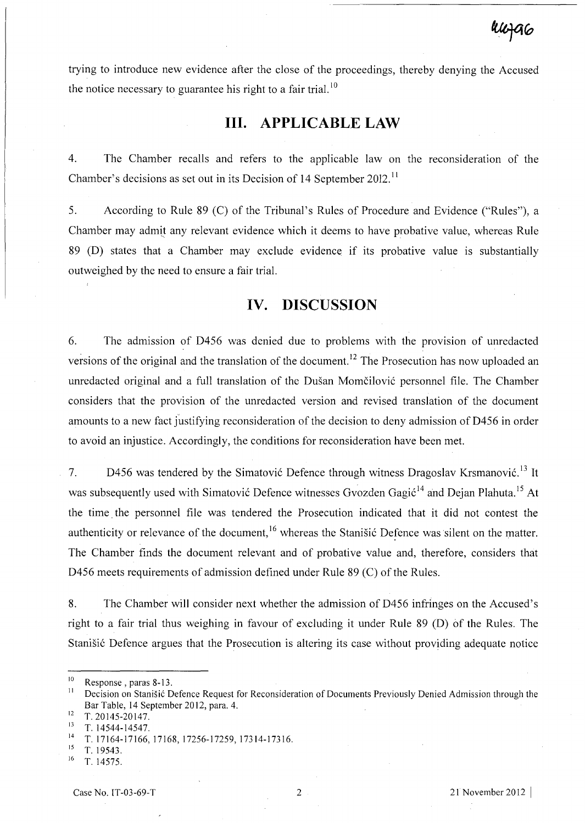trying to introduce new evidence after the close of the proceedings, thereby denying the Accused the notice necessary to guarantee his right to a fair trial.<sup>10</sup>

### **Ill. APPLICABLE LAW**

4. The Chamber recalls and refers to the applicable law on the reconsideration of the Chamber's decisions as set out in its Decision of 14 September 2012.<sup>11</sup>

5. According to Rule 89 (C) of the Tribunal's Rules of Procedure and Evidence ("Rules"), a Chamber may admit any relevant evidence which it deems to have probative value, whereas Rule 89 (D) states that a Chamber may exclude evidence if its probative value is substantially outweighed by the need to ensure a fair trial.

### **IV. DISCUSSION**

6. The admission of D456 was denied due to problems with the provision of unredacted versions of the original and the translation of the document.<sup>12</sup> The Prosecution has now uploaded an unredacted original and a full translation of the Dušan Momčilović personnel file. The Chamber considers that the provision of the unredacted version and revised translation of the document amounts to a new fact justifying reconsideration of the decision to deny admission of D456 in order to avoid an injustice. Accordingly, the conditions for reconsideration have been met.

7. D456 was tendered by the Simatović Defence through witness Dragoslav Krsmanović.<sup>13</sup> It was subsequently used with Simatović Defence witnesses Gvozden Gagić<sup>14</sup> and Dejan Plahuta.<sup>15</sup> At the time. the personnel file was tendered the Prosecution indicated that it did not contest the authenticity or relevance of the document,<sup>16</sup> whereas the Stanisić Defence was silent on the matter. The Chamber finds the document relevant and of probative value and, therefore, considers that D456 meets requirements of admission defined under Rule 89 (C) of the Rules.

8. The Chamber will consider next whether the admission of D456 infringes on the Accused's right to a fair trial thus weighing in favour of excluding it under Rule 89 (D) of the Rules. The Stanišić Defence argues that the Prosecution is altering its case without providing adequate notice

<sup>&</sup>lt;sup>10</sup> Response, paras 8-13.

Decision on Stanišić Defence Request for Reconsideration of Documents Previously Denied Admission through the Bar Table, 14 September 2012, para. 4.

 $\frac{12}{13}$  T. 20145-20147.

 $\frac{13}{14}$  T. 14544-14547.

<sup>&</sup>lt;sup>14</sup> T. 17164-17166, 17168, 17256-17259, 17314-17316.<br><sup>15</sup> T. 10542

T. 19543.

<sup>&</sup>lt;sup>16</sup> T. 14575.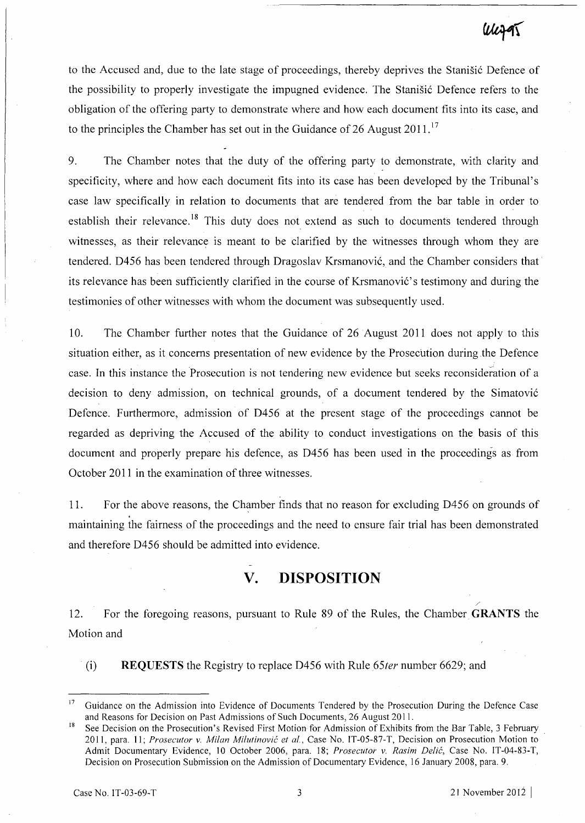# WizgT

to the Accused and, due to the late stage of proceedings, thereby deprives the Stanišić Defence of the possibility to properly investigate the impugned evidence. The Stanistic Defence refers to the obligation of the offering party to demonstrate where and how each document fits into its case, and to the principles the Chamber has set out in the Guidance of 26 August  $2011$ .<sup>17</sup>

9. The Chamber notes that the duty of the offering party to demonstrate, with clarity and specificity, where and how each document fits into its case has been developed by the Tribunal's case law specifically in relation to documents that are tendered from the bar table in order to establish their relevance.<sup>18</sup> This duty does not extend as such to documents tendered through witnesses, as their relevance is meant to be clarified by the witnesses through whom they are tendered. D456 has been tendered through Dragoslav Krsmanovic, and the Chamber considers that its relevance has been sufficiently clarified in the course of Krsmanovic' s testimony and during the testimonies of other witnesses with whom the document was subsequently used.

10. The Chamber further notes that the Guidance of 26 August 2011 does not apply to this situation either, as it concerns presentation of new evidence by the Prosecution during .the Defence case. In this instance the Prosecution is not tendering new evidence but seeks reconsideration of a decision to deny admission, on technical grounds, of a document tendered by the Simatovic Defence. Furthermore, admission of D456 at the present stage of the proceedings cannot be regarded as depriving the Accused of the ability to conduct investigations on the basis of this document and properly prepare his defence, as D456 has been used in the proceedings as from October 2011 in the examination of three witnesses.

11. For the above reasons, the Chamber finds that no reason for excluding D456 on grounds of maintaining the fairness of the proceedings and the need to ensure fair trial has been demonstrated and therefore D456 should be admitted into evidence.

# **V. DISPOSITION**

12. For the foregoing reasons, pursuant to Rule 89 of the Rules, the Chamber **GRANTS** the Motion and

(i) **REQUESTS** the Registry to replace D456 with Rule *65ter* number 6629; and

Guidance on the Admission into Evidence of Documents Tendered by the Prosecution During the Defence Case and Reasons for Decision on Past Admissions of Such Documents, 26 August 2011.

<sup>&</sup>lt;sup>18</sup> See Decision on the Prosecution's Revised First Motion for Admission of Exhibits from the Bar Table, 3 February 20 11, para. 11; *Prosecutor* v. *Milan Milutinovic et aI.,* Case No. IT -05-87-T, Decision on Prosecution Motion to Admit Documentary Evidence, 10 October 2006, para. 18; *Prosecutor* v. *Rasim Delic,* Case No. IT-04-83-T, Decision on Prosecution Submission on the Admission of Documentary Evidence, 16 January 2008, para. 9.